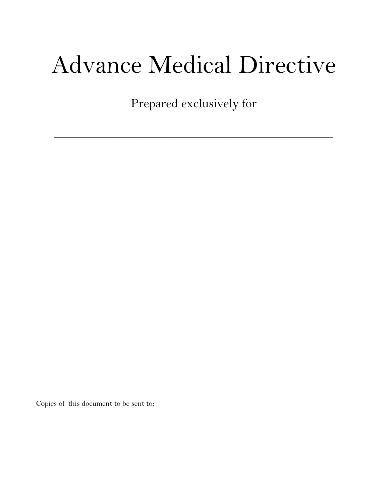# Advance Medical Directive

Prepared exclusively for

 $\mathcal{L}=\{1,2,3,4,5\}$  , we can assume that  $\mathcal{L}=\{1,2,3,4,5\}$  , we can assume that  $\mathcal{L}=\{1,2,3,4,5\}$ 

Copies of this document to be sent to: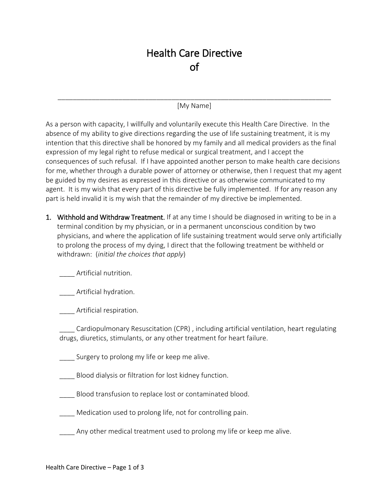# Health Care Directive of

## \_\_\_\_\_\_\_\_\_\_\_\_\_\_\_\_\_\_\_\_\_\_\_\_\_\_\_\_\_\_\_\_\_\_\_\_\_\_\_\_\_\_\_\_\_\_\_\_\_\_\_\_\_\_\_\_\_\_\_\_\_\_\_\_\_\_\_\_\_\_\_\_ [My Name]

As a person with capacity, I willfully and voluntarily execute this Health Care Directive. In the absence of my ability to give directions regarding the use of life sustaining treatment, it is my intention that this directive shall be honored by my family and all medical providers as the final expression of my legal right to refuse medical or surgical treatment, and I accept the consequences of such refusal. If I have appointed another person to make health care decisions for me, whether through a durable power of attorney or otherwise, then I request that my agent be guided by my desires as expressed in this directive or as otherwise communicated to my agent. It is my wish that every part of this directive be fully implemented. If for any reason any part is held invalid it is my wish that the remainder of my directive be implemented.

1. Withhold and Withdraw Treatment. If at any time I should be diagnosed in writing to be in a terminal condition by my physician, or in a permanent unconscious condition by two physicians, and where the application of life sustaining treatment would serve only artificially to prolong the process of my dying, I direct that the following treatment be withheld or withdrawn: (*initial the choices that apply*)

\_\_\_\_ Artificial nutrition.

\_\_\_\_ Artificial hydration.

\_\_\_\_ Artificial respiration.

\_\_\_\_ Cardiopulmonary Resuscitation (CPR) , including artificial ventilation, heart regulating drugs, diuretics, stimulants, or any other treatment for heart failure.

Surgery to prolong my life or keep me alive.

\_\_\_\_ Blood dialysis or filtration for lost kidney function.

Blood transfusion to replace lost or contaminated blood.

Medication used to prolong life, not for controlling pain.

Any other medical treatment used to prolong my life or keep me alive.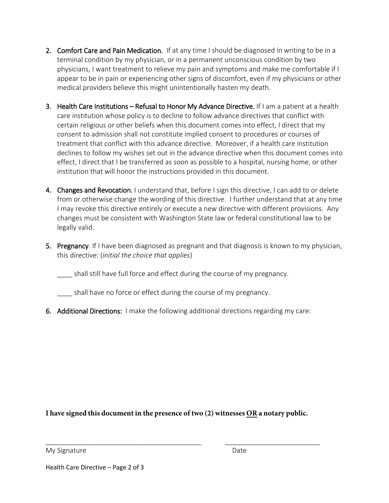- 2. Comfort Care and Pain Medication. If at any time I should be diagnosed in writing to be in a terminal condition by my physician, or in a permanent unconscious condition by two physicians, I want treatment to relieve my pain and symptoms and make me comfortable if I appear to be in pain or experiencing other signs of discomfort, even if my physicians or other medical providers believe this might unintentionally hasten my death.
- 3. Health Care Institutions Refusal to Honor My Advance Directive. If I am a patient at a health care institution whose policy is to decline to follow advance directives that conflict with certain religious or other beliefs when this document comes into effect, I direct that my consent to admission shall not constitute implied consent to procedures or courses of treatment that conflict with this advance directive. Moreover, if a health care institution declines to follow my wishes set out in the advance directive when this document comes into effect, I direct that I be transferred as soon as possible to a hospital, nursing home, or other institution that will honor the instructions provided in this document.
- 4. Changes and Revocation. I understand that, before I sign this directive, I can add to or delete from or otherwise change the wording of this directive. I further understand that at any time I may revoke this directive entirely or execute a new directive with different provisions. Any changes must be consistent with Washington State law or federal constitutional law to be legally valid.
- 5. Pregnancy. If I have been diagnosed as pregnant and that diagnosis is known to my physician, this directive: (*initial the choice that applies*)

shall still have full force and effect during the course of my pregnancy.

shall have no force or effect during the course of my pregnancy.

6. Additional Directions: I make the following additional directions regarding my care:

**I have signed this document in the presence of two (2) witnesses OR a notary public.**

\_\_\_\_\_\_\_\_\_\_\_\_\_\_\_\_\_\_\_\_\_\_\_\_\_\_\_\_\_\_\_\_\_\_\_\_\_\_\_\_\_ \_\_\_\_\_\_\_\_\_\_\_\_\_\_\_\_\_\_\_\_\_\_\_\_\_

My Signature Date Date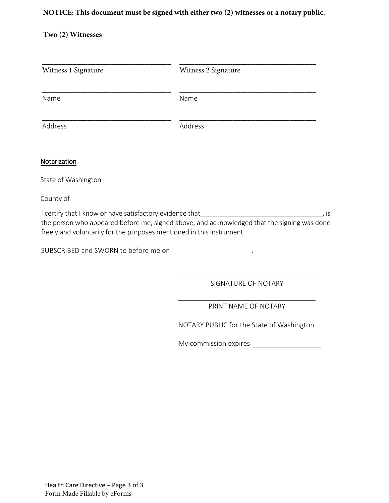## **NOTICE: This document must be signed with either two (2) witnesses or a notary public.**

## **Two (2) Witnesses**

| Name                                                                                                                                  | Name                                                                                        |
|---------------------------------------------------------------------------------------------------------------------------------------|---------------------------------------------------------------------------------------------|
| Address                                                                                                                               | Address                                                                                     |
| Notarization                                                                                                                          |                                                                                             |
| State of Washington                                                                                                                   |                                                                                             |
|                                                                                                                                       |                                                                                             |
| freely and voluntarily for the purposes mentioned in this instrument.<br>SUBSCRIBED and SWORN to before me on ______________________. | the person who appeared before me, signed above, and acknowledged that the signing was done |
|                                                                                                                                       | SIGNATURE OF NOTARY                                                                         |
|                                                                                                                                       | PRINT NAME OF NOTARY                                                                        |
|                                                                                                                                       | NOTARY PUBLIC for the State of Washington.                                                  |
|                                                                                                                                       |                                                                                             |
|                                                                                                                                       |                                                                                             |
|                                                                                                                                       |                                                                                             |
|                                                                                                                                       |                                                                                             |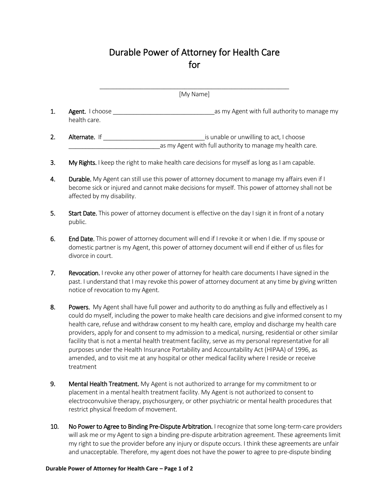# Durable Power of Attorney for Health Care for

|                | [My Name]                       |                                                                                                      |  |  |
|----------------|---------------------------------|------------------------------------------------------------------------------------------------------|--|--|
| 1.             | Agent. I choose<br>health care. | as my Agent with full authority to manage my                                                         |  |  |
| $\overline{2}$ | <b>Alternate.</b> If            | is unable or unwilling to act, I choose<br>as my Agent with full authority to manage my health care. |  |  |
| 3.             |                                 | My Rights. I keep the right to make health care decisions for myself as long as I am capable.        |  |  |

- 4. Durable. My Agent can still use this power of attorney document to manage my affairs even if I become sick or injured and cannot make decisions for myself. This power of attorney shall not be affected by my disability.
- 5. Start Date. This power of attorney document is effective on the day I sign it in front of a notary public.
- 6. End Date. This power of attorney document will end if I revoke it or when I die. If my spouse or domestic partner is my Agent, this power of attorney document will end if either of us files for divorce in court.
- 7. Revocation. I revoke any other power of attorney for health care documents I have signed in the past. I understand that I may revoke this power of attorney document at any time by giving written notice of revocation to my Agent.
- 8. Powers. My Agent shall have full power and authority to do anything as fully and effectively as I could do myself, including the power to make health care decisions and give informed consent to my health care, refuse and withdraw consent to my health care, employ and discharge my health care providers, apply for and consent to my admission to a medical, nursing, residential or other similar facility that is not a mental health treatment facility, serve as my personal representative for all purposes under the Health Insurance Portability and Accountability Act (HIPAA) of 1996, as amended, and to visit me at any hospital or other medical facility where I reside or receive treatment
- 9. Mental Health Treatment. My Agent is not authorized to arrange for my commitment to or placement in a mental health treatment facility. My Agent is not authorized to consent to electroconvulsive therapy, psychosurgery, or other psychiatric or mental health procedures that restrict physical freedom of movement.
- 10. No Power to Agree to Binding Pre-Dispute Arbitration. I recognize that some long-term-care providers will ask me or my Agent to sign a binding pre-dispute arbitration agreement. These agreements limit my right to sue the provider before any injury or dispute occurs. I think these agreements are unfair and unacceptable. Therefore, my agent does not have the power to agree to pre-dispute binding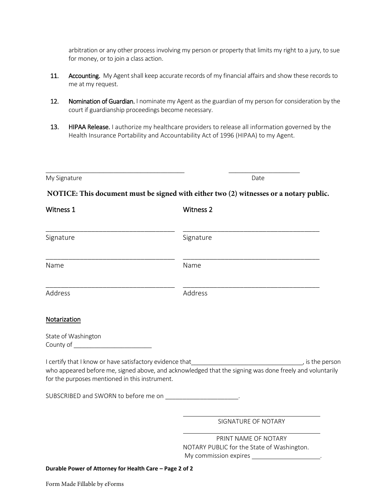arbitration or any other process involving my person or property that limits my right to a jury, to sue for money, or to join a class action.

- 11. Accounting. My Agent shall keep accurate records of my financial affairs and show these records to me at my request.
- 12. Nomination of Guardian. I nominate my Agent as the guardian of my person for consideration by the court if guardianship proceedings become necessary.
- 13. HIPAA Release. I authorize my healthcare providers to release all information governed by the Health Insurance Portability and Accountability Act of 1996 (HIPAA) to my Agent.

| My Signature | Date |
|--------------|------|
|              |      |

### **NOTICE: This document must be signed with either two (2) witnesses or a notary public.**

\_\_\_\_\_\_\_\_\_\_\_\_\_\_\_\_\_\_\_\_\_\_\_\_\_\_\_\_\_\_\_\_\_\_\_\_\_\_\_\_\_ \_\_\_\_\_\_\_\_\_\_\_\_\_\_\_\_\_\_\_\_\_

| Witness 1                                                                                                  | <b>Witness 2</b>                                                                                        |
|------------------------------------------------------------------------------------------------------------|---------------------------------------------------------------------------------------------------------|
| Signature                                                                                                  | Signature                                                                                               |
| Name                                                                                                       | Name                                                                                                    |
| Address                                                                                                    | Address                                                                                                 |
| Notarization                                                                                               |                                                                                                         |
| State of Washington<br>County of ___________________________                                               |                                                                                                         |
| I certify that I know or have satisfactory evidence that<br>for the purposes mentioned in this instrument. | who appeared before me, signed above, and acknowledged that the signing was done freely and voluntarily |
| SUBSCRIBED and SWORN to before me on _________________________.                                            |                                                                                                         |
|                                                                                                            | SIGNATURE OF NOTARY                                                                                     |
|                                                                                                            | PRINT NAME OF NOTARY<br>NOTARY PUBLIC for the State of Washington.                                      |

**Durable Power of Attorney for Health Care – Page 2 of 2**

Form Made Fillable by eForms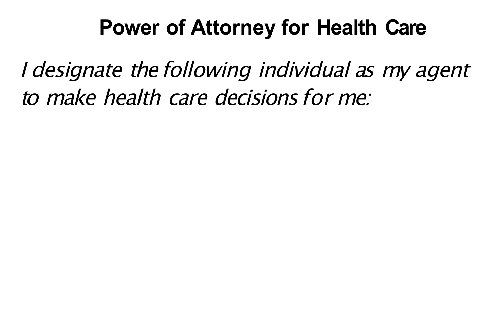#### **Power of Attorney for Health Care**

I designate the following individual as my agent to make health care decisions for me: